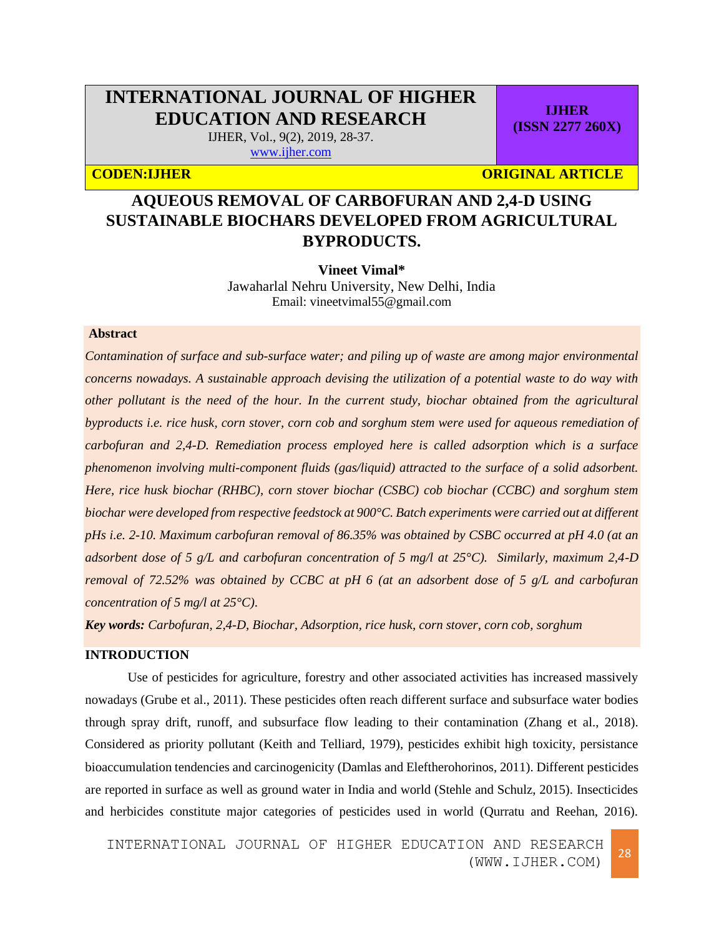# **INTERNATIONAL JOURNAL OF HIGHER EDUCATION AND RESEARCH**

IJHER, Vol., 9(2), 2019, 28-37. [www.ijher.com](http://www.ijher.com/)

**CODEN:IJHER ORIGINAL ARTICLE** 

**IJHER (ISSN 2277 260X)**

# **AQUEOUS REMOVAL OF CARBOFURAN AND 2,4-D USING SUSTAINABLE BIOCHARS DEVELOPED FROM AGRICULTURAL BYPRODUCTS.**

**Vineet Vimal\***

Jawaharlal Nehru University, New Delhi, India Email: vineetvimal55@gmail.com

### **Abstract**

*Contamination of surface and sub-surface water; and piling up of waste are among major environmental concerns nowadays. A sustainable approach devising the utilization of a potential waste to do way with other pollutant is the need of the hour. In the current study, biochar obtained from the agricultural byproducts i.e. rice husk, corn stover, corn cob and sorghum stem were used for aqueous remediation of carbofuran and 2,4-D. Remediation process employed here is called adsorption which is a surface phenomenon involving multi-component fluids (gas/liquid) attracted to the surface of a solid adsorbent. Here, rice husk biochar (RHBC), corn stover biochar (CSBC) cob biochar (CCBC) and sorghum stem biochar were developed from respective feedstock at 900°C. Batch experiments were carried out at different pHs i.e. 2-10. Maximum carbofuran removal of 86.35% was obtained by CSBC occurred at pH 4.0 (at an adsorbent dose of 5 g/L and carbofuran concentration of 5 mg/l at 25°C). Similarly, maximum 2,4-D removal of 72.52% was obtained by CCBC at pH 6 (at an adsorbent dose of 5 g/L and carbofuran concentration of 5 mg/l at 25°C).*

*Key words: Carbofuran, 2,4-D, Biochar, Adsorption, rice husk, corn stover, corn cob, sorghum*

#### **INTRODUCTION**

Use of pesticides for agriculture, forestry and other associated activities has increased massively nowadays (Grube et al., 2011). These pesticides often reach different surface and subsurface water bodies through spray drift, runoff, and subsurface flow leading to their contamination (Zhang et al., 2018). Considered as priority pollutant (Keith and Telliard, 1979), pesticides exhibit high toxicity, persistance bioaccumulation tendencies and carcinogenicity (Damlas and Eleftherohorinos, 2011). Different pesticides are reported in surface as well as ground water in India and world (Stehle and Schulz, 2015). Insecticides and herbicides constitute major categories of pesticides used in world (Qurratu and Reehan, 2016).

INTERNATIONAL JOURNAL OF HIGHER EDUCATION AND RESEARCH (WWW.IJHER.COM) <sup>28</sup>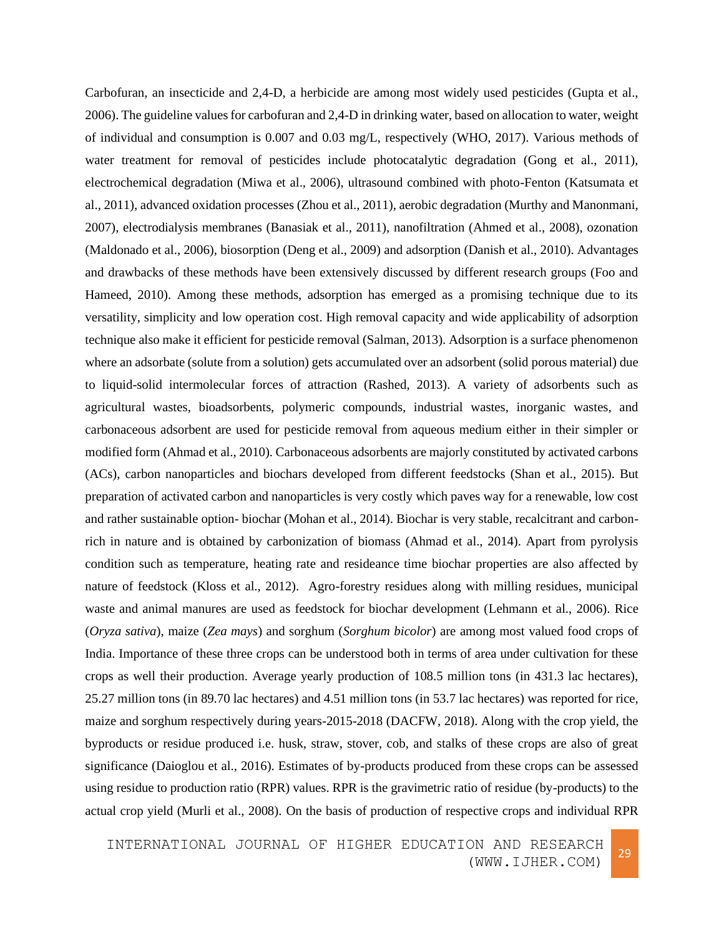Carbofuran, an insecticide and 2,4-D, a herbicide are among most widely used pesticides (Gupta et al., 2006). The guideline values for carbofuran and 2,4-D in drinking water, based on allocation to water, weight of individual and consumption is 0.007 and 0.03 mg/L, respectively (WHO, 2017). Various methods of water treatment for removal of pesticides include photocatalytic degradation (Gong et al., 2011), electrochemical degradation (Miwa et al., 2006), ultrasound combined with photo-Fenton (Katsumata et al., 2011), advanced oxidation processes (Zhou et al., 2011), aerobic degradation (Murthy and Manonmani, 2007), electrodialysis membranes (Banasiak et al., 2011), nanofiltration (Ahmed et al., 2008), ozonation (Maldonado et al., 2006), biosorption (Deng et al., 2009) and adsorption (Danish et al., 2010). Advantages and drawbacks of these methods have been extensively discussed by different research groups (Foo and Hameed, 2010). Among these methods, adsorption has emerged as a promising technique due to its versatility, simplicity and low operation cost. High removal capacity and wide applicability of adsorption technique also make it efficient for pesticide removal (Salman, 2013). Adsorption is a surface phenomenon where an adsorbate (solute from a solution) gets accumulated over an adsorbent (solid porous material) due to liquid-solid intermolecular forces of attraction (Rashed, 2013). A variety of adsorbents such as agricultural wastes, bioadsorbents, polymeric compounds, industrial wastes, inorganic wastes, and carbonaceous adsorbent are used for pesticide removal from aqueous medium either in their simpler or modified form (Ahmad et al., 2010). Carbonaceous adsorbents are majorly constituted by activated carbons (ACs), carbon nanoparticles and biochars developed from different feedstocks (Shan et al., 2015). But preparation of activated carbon and nanoparticles is very costly which paves way for a renewable, low cost and rather sustainable option- biochar (Mohan et al., 2014). Biochar is very stable, recalcitrant and carbonrich in nature and is obtained by carbonization of biomass (Ahmad et al., 2014). Apart from pyrolysis condition such as temperature, heating rate and resideance time biochar properties are also affected by nature of feedstock (Kloss et al., 2012). Agro-forestry residues along with milling residues, municipal waste and animal manures are used as feedstock for biochar development (Lehmann et al., 2006). Rice (*Oryza sativa*), maize (*Zea mays*) and sorghum (*Sorghum bicolor*) are among most valued food crops of India. Importance of these three crops can be understood both in terms of area under cultivation for these crops as well their production. Average yearly production of 108.5 million tons (in 431.3 lac hectares), 25.27 million tons (in 89.70 lac hectares) and 4.51 million tons (in 53.7 lac hectares) was reported for rice, maize and sorghum respectively during years-2015-2018 (DACFW, 2018). Along with the crop yield, the byproducts or residue produced i.e. husk, straw, stover, cob, and stalks of these crops are also of great significance (Daioglou et al., 2016). Estimates of by-products produced from these crops can be assessed using residue to production ratio (RPR) values. RPR is the gravimetric ratio of residue (by-products) to the actual crop yield (Murli et al., 2008). On the basis of production of respective crops and individual RPR

INTERNATIONAL JOURNAL OF HIGHER EDUCATION AND RESEARCH (WWW.IJHER.COM) <sup>29</sup>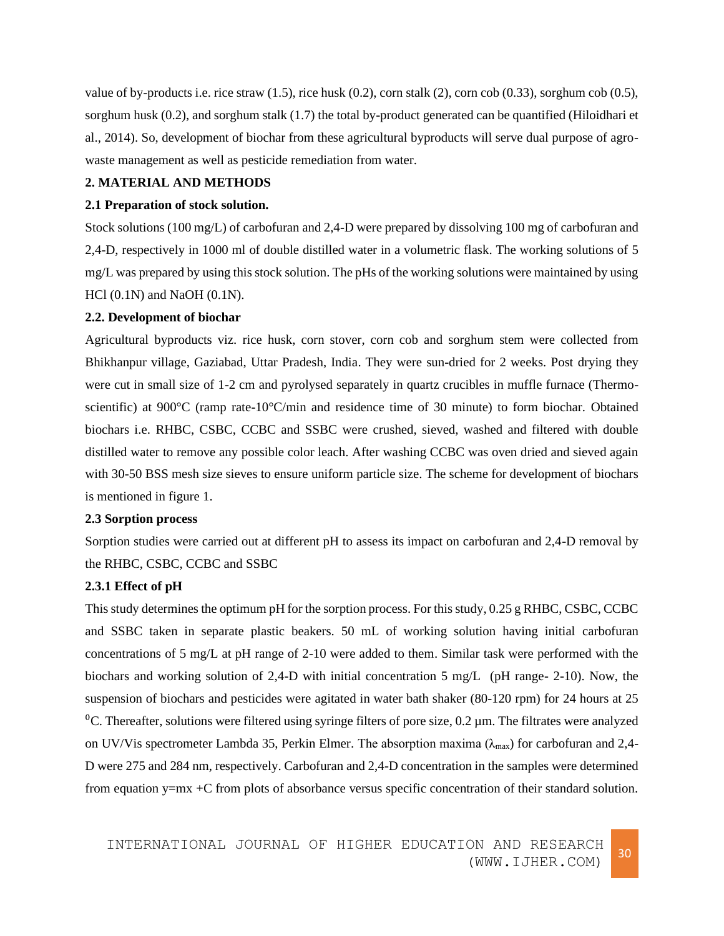value of by-products i.e. rice straw  $(1.5)$ , rice husk  $(0.2)$ , corn stalk  $(2)$ , corn cob  $(0.33)$ , sorghum cob  $(0.5)$ , sorghum husk (0.2), and sorghum stalk (1.7) the total by-product generated can be quantified (Hiloidhari et al., 2014). So, development of biochar from these agricultural byproducts will serve dual purpose of agrowaste management as well as pesticide remediation from water.

## **2. MATERIAL AND METHODS**

#### **2.1 Preparation of stock solution.**

Stock solutions (100 mg/L) of carbofuran and 2,4-D were prepared by dissolving 100 mg of carbofuran and 2,4-D, respectively in 1000 ml of double distilled water in a volumetric flask. The working solutions of 5 mg/L was prepared by using this stock solution. The pHs of the working solutions were maintained by using  $HCl$  (0.1N) and NaOH (0.1N).

#### **2.2. Development of biochar**

Agricultural byproducts viz. rice husk, corn stover, corn cob and sorghum stem were collected from Bhikhanpur village, Gaziabad, Uttar Pradesh, India. They were sun-dried for 2 weeks. Post drying they were cut in small size of 1-2 cm and pyrolysed separately in quartz crucibles in muffle furnace (Thermoscientific) at 900°C (ramp rate-10°C/min and residence time of 30 minute) to form biochar. Obtained biochars i.e. RHBC, CSBC, CCBC and SSBC were crushed, sieved, washed and filtered with double distilled water to remove any possible color leach. After washing CCBC was oven dried and sieved again with 30-50 BSS mesh size sieves to ensure uniform particle size. The scheme for development of biochars is mentioned in figure 1.

### **2.3 Sorption process**

Sorption studies were carried out at different pH to assess its impact on carbofuran and 2,4-D removal by the RHBC, CSBC, CCBC and SSBC

### **2.3.1 Effect of pH**

This study determines the optimum pH for the sorption process. For this study, 0.25 g RHBC, CSBC, CCBC and SSBC taken in separate plastic beakers. 50 mL of working solution having initial carbofuran concentrations of 5 mg/L at pH range of 2-10 were added to them. Similar task were performed with the biochars and working solution of 2,4-D with initial concentration 5 mg/L (pH range- 2-10). Now, the suspension of biochars and pesticides were agitated in water bath shaker (80-120 rpm) for 24 hours at 25  ${}^{0}C$ . Thereafter, solutions were filtered using syringe filters of pore size, 0.2 µm. The filtrates were analyzed on UV/Vis spectrometer Lambda 35, Perkin Elmer. The absorption maxima ( $\lambda_{\text{max}}$ ) for carbofuran and 2,4-D were 275 and 284 nm, respectively. Carbofuran and 2,4-D concentration in the samples were determined from equation y=mx +C from plots of absorbance versus specific concentration of their standard solution.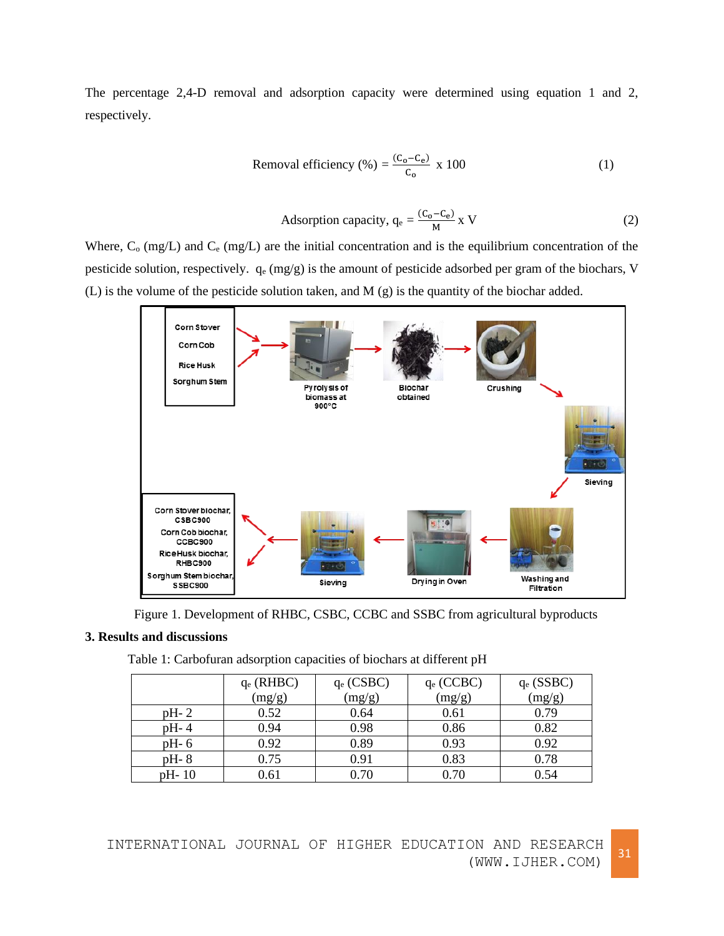The percentage 2,4-D removal and adsorption capacity were determined using equation 1 and 2, respectively.

Removal efficiency (%) = 
$$
\frac{(C_0 - C_e)}{C_0}
$$
 x 100 (1)

Adsorption capacity, 
$$
q_e = \frac{(C_0 - C_e)}{M} x
$$
 V (2)

Where,  $C_0$  (mg/L) and  $C_e$  (mg/L) are the initial concentration and is the equilibrium concentration of the pesticide solution, respectively. q<sup>e</sup> (mg/g) is the amount of pesticide adsorbed per gram of the biochars, V (L) is the volume of the pesticide solution taken, and M (g) is the quantity of the biochar added.



Figure 1. Development of RHBC, CSBC, CCBC and SSBC from agricultural byproducts

## **3. Results and discussions**

|        | $q_e$ (RHBC) | $q_e$ (CSBC) | $q_e$ (CCBC) | $q_e$ (SSBC) |
|--------|--------------|--------------|--------------|--------------|
|        | (mg/g)       | (mg/g)       | (mg/g)       | (mg/g)       |
| $pH-2$ | 0.52         | 0.64         | 0.61         | 0.79         |
| $pH-4$ | 0.94         | 0.98         | 0.86         | 0.82         |
| $pH-6$ | 0.92         | 0.89         | 0.93         | 0.92         |
| $pH-8$ | 0.75         | 0.91         | 0.83         | 0.78         |
| pH-10  | 0.61         | 0.70         | 0.70         | 0.54         |

Table 1: Carbofuran adsorption capacities of biochars at different pH

INTERNATIONAL JOURNAL OF HIGHER EDUCATION AND RESEARCH (WWW.IJHER.COM)<sup>31</sup>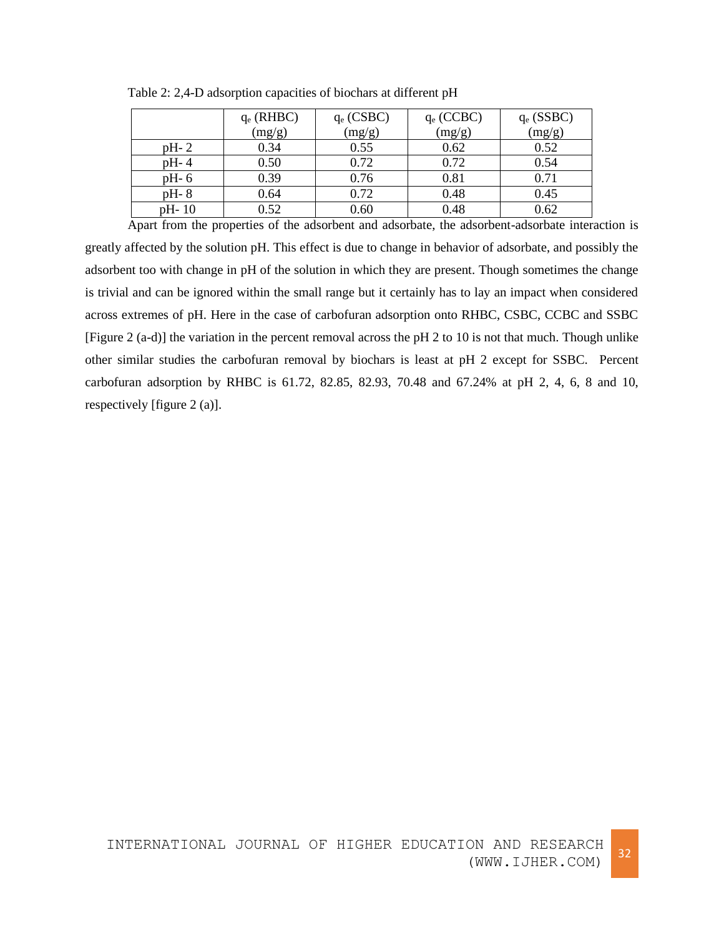|        | $q_e$ (RHBC)<br>(mg/g) | $q_e$ (CSBC)<br>(mg/g) | $q_e$ (CCBC)<br>(mg/g) | $q_e$ (SSBC)<br>(mg/g) |
|--------|------------------------|------------------------|------------------------|------------------------|
|        |                        |                        |                        |                        |
| pH-2   | 0.34                   | 0.55                   | 0.62                   | 0.52                   |
| pH-4   | 0.50                   | 0.72                   | 0.72                   | 0.54                   |
| pH- 6  | 0.39                   | 0.76                   | 0.81                   | 0.71                   |
| pH-8   | 0.64                   | 0.72                   | 0.48                   | 0.45                   |
| pH- 10 | 0.52                   | 0.60                   | 0.48                   | 0.62                   |

Table 2: 2,4-D adsorption capacities of biochars at different pH

Apart from the properties of the adsorbent and adsorbate, the adsorbent-adsorbate interaction is greatly affected by the solution pH. This effect is due to change in behavior of adsorbate, and possibly the adsorbent too with change in pH of the solution in which they are present. Though sometimes the change is trivial and can be ignored within the small range but it certainly has to lay an impact when considered across extremes of pH. Here in the case of carbofuran adsorption onto RHBC, CSBC, CCBC and SSBC [Figure 2 (a-d)] the variation in the percent removal across the pH 2 to 10 is not that much. Though unlike other similar studies the carbofuran removal by biochars is least at pH 2 except for SSBC. Percent carbofuran adsorption by RHBC is 61.72, 82.85, 82.93, 70.48 and 67.24% at pH 2, 4, 6, 8 and 10, respectively [figure 2 (a)].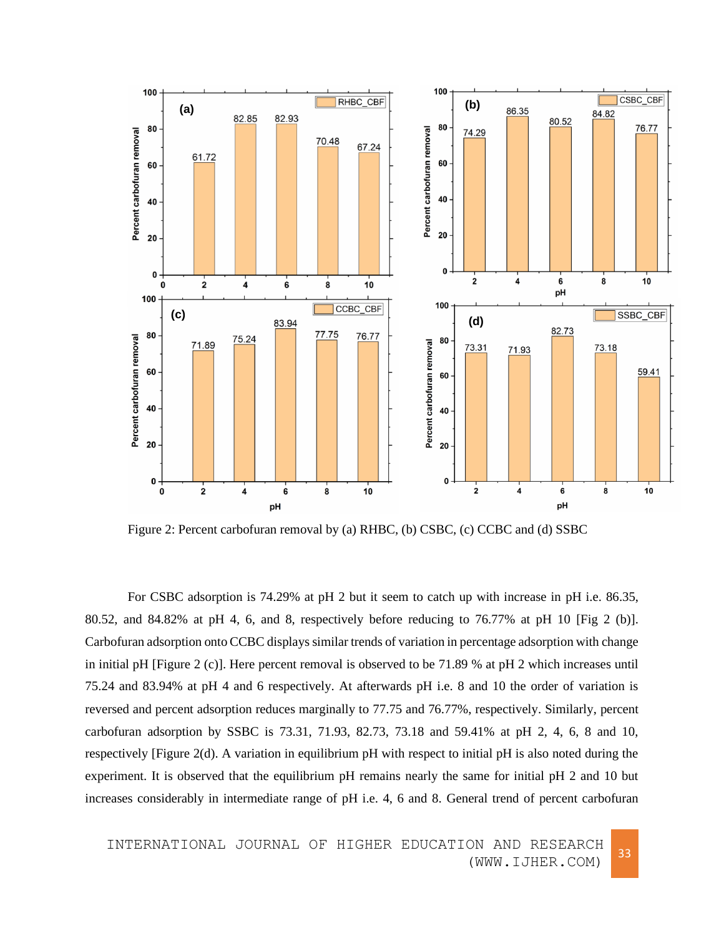

Figure 2: Percent carbofuran removal by (a) RHBC, (b) CSBC, (c) CCBC and (d) SSBC

For CSBC adsorption is 74.29% at pH 2 but it seem to catch up with increase in pH i.e. 86.35, 80.52, and 84.82% at pH 4, 6, and 8, respectively before reducing to 76.77% at pH 10 [Fig 2 (b)]. Carbofuran adsorption onto CCBC displays similar trends of variation in percentage adsorption with change in initial pH [Figure 2 (c)]. Here percent removal is observed to be 71.89 % at pH 2 which increases until 75.24 and 83.94% at pH 4 and 6 respectively. At afterwards pH i.e. 8 and 10 the order of variation is reversed and percent adsorption reduces marginally to 77.75 and 76.77%, respectively. Similarly, percent carbofuran adsorption by SSBC is 73.31, 71.93, 82.73, 73.18 and 59.41% at pH 2, 4, 6, 8 and 10, respectively [Figure 2(d). A variation in equilibrium pH with respect to initial pH is also noted during the experiment. It is observed that the equilibrium pH remains nearly the same for initial pH 2 and 10 but increases considerably in intermediate range of pH i.e. 4, 6 and 8. General trend of percent carbofuran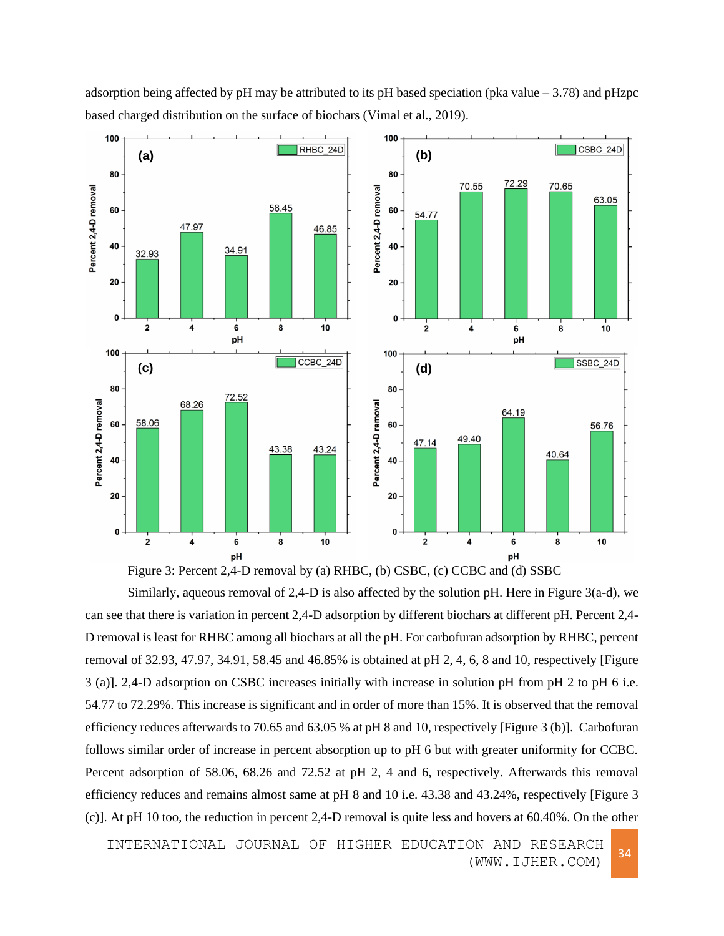

adsorption being affected by pH may be attributed to its pH based speciation (pka value  $-3.78$ ) and pHzpc based charged distribution on the surface of biochars (Vimal et al., 2019).



Similarly, aqueous removal of 2,4-D is also affected by the solution pH. Here in Figure 3(a-d), we can see that there is variation in percent 2,4-D adsorption by different biochars at different pH. Percent 2,4- D removal is least for RHBC among all biochars at all the pH. For carbofuran adsorption by RHBC, percent removal of 32.93, 47.97, 34.91, 58.45 and 46.85% is obtained at pH 2, 4, 6, 8 and 10, respectively [Figure 3 (a)]. 2,4-D adsorption on CSBC increases initially with increase in solution pH from pH 2 to pH 6 i.e. 54.77 to 72.29%. This increase is significant and in order of more than 15%. It is observed that the removal efficiency reduces afterwards to 70.65 and 63.05 % at pH 8 and 10, respectively [Figure 3 (b)]. Carbofuran follows similar order of increase in percent absorption up to pH 6 but with greater uniformity for CCBC. Percent adsorption of 58.06, 68.26 and 72.52 at pH 2, 4 and 6, respectively. Afterwards this removal efficiency reduces and remains almost same at pH 8 and 10 i.e. 43.38 and 43.24%, respectively [Figure 3 (c)]. At pH 10 too, the reduction in percent 2,4-D removal is quite less and hovers at 60.40%. On the other

INTERNATIONAL JOURNAL OF HIGHER EDUCATION AND RESEARCH (WWW.IJHER.COM) <sup>34</sup>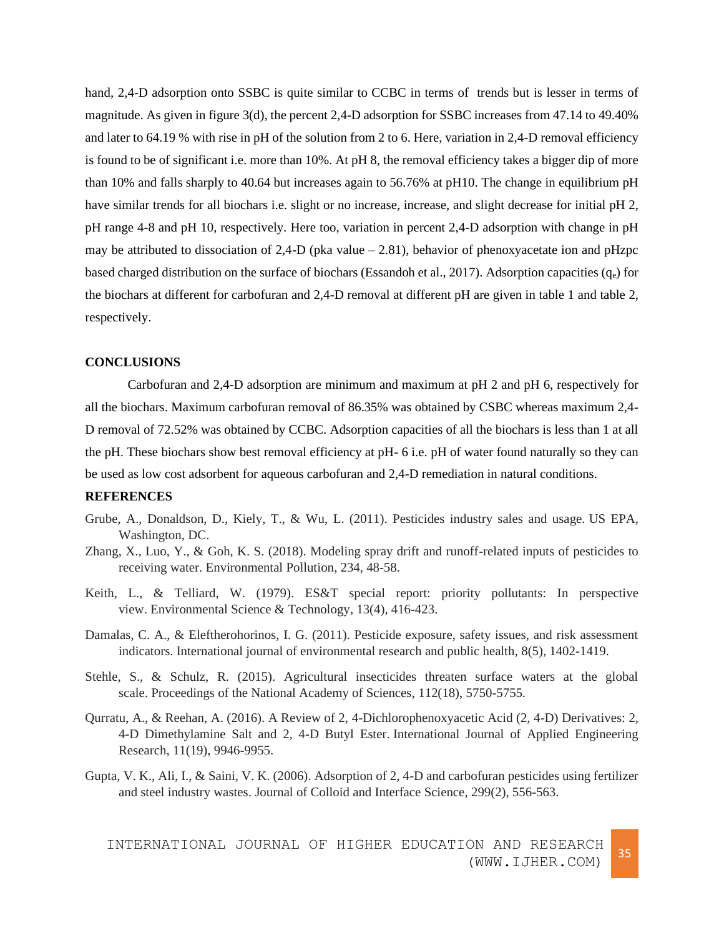hand, 2,4-D adsorption onto SSBC is quite similar to CCBC in terms of trends but is lesser in terms of magnitude. As given in figure 3(d), the percent 2,4-D adsorption for SSBC increases from 47.14 to 49.40% and later to 64.19 % with rise in pH of the solution from 2 to 6. Here, variation in 2,4-D removal efficiency is found to be of significant i.e. more than 10%. At pH 8, the removal efficiency takes a bigger dip of more than 10% and falls sharply to 40.64 but increases again to 56.76% at pH10. The change in equilibrium pH have similar trends for all biochars i.e. slight or no increase, increase, and slight decrease for initial pH 2, pH range 4-8 and pH 10, respectively. Here too, variation in percent 2,4-D adsorption with change in pH may be attributed to dissociation of 2,4-D (pka value  $-$  2.81), behavior of phenoxyacetate ion and pHzpc based charged distribution on the surface of biochars (Essandoh et al., 2017). Adsorption capacities  $(q_e)$  for the biochars at different for carbofuran and 2,4-D removal at different pH are given in table 1 and table 2, respectively.

#### **CONCLUSIONS**

Carbofuran and 2,4-D adsorption are minimum and maximum at pH 2 and pH 6, respectively for all the biochars. Maximum carbofuran removal of 86.35% was obtained by CSBC whereas maximum 2,4- D removal of 72.52% was obtained by CCBC. Adsorption capacities of all the biochars is less than 1 at all the pH. These biochars show best removal efficiency at pH- 6 i.e. pH of water found naturally so they can be used as low cost adsorbent for aqueous carbofuran and 2,4-D remediation in natural conditions.

#### **REFERENCES**

- Grube, A., Donaldson, D., Kiely, T., & Wu, L. (2011). Pesticides industry sales and usage. US EPA, Washington, DC.
- Zhang, X., Luo, Y., & Goh, K. S. (2018). Modeling spray drift and runoff-related inputs of pesticides to receiving water. Environmental Pollution, 234, 48-58.
- Keith, L., & Telliard, W. (1979). ES&T special report: priority pollutants: In perspective view. Environmental Science & Technology, 13(4), 416-423.
- Damalas, C. A., & Eleftherohorinos, I. G. (2011). Pesticide exposure, safety issues, and risk assessment indicators. International journal of environmental research and public health, 8(5), 1402-1419.
- Stehle, S., & Schulz, R. (2015). Agricultural insecticides threaten surface waters at the global scale. Proceedings of the National Academy of Sciences, 112(18), 5750-5755.
- Qurratu, A., & Reehan, A. (2016). A Review of 2, 4-Dichlorophenoxyacetic Acid (2, 4-D) Derivatives: 2, 4-D Dimethylamine Salt and 2, 4-D Butyl Ester. International Journal of Applied Engineering Research, 11(19), 9946-9955.
- Gupta, V. K., Ali, I., & Saini, V. K. (2006). Adsorption of 2, 4-D and carbofuran pesticides using fertilizer and steel industry wastes. Journal of Colloid and Interface Science, 299(2), 556-563.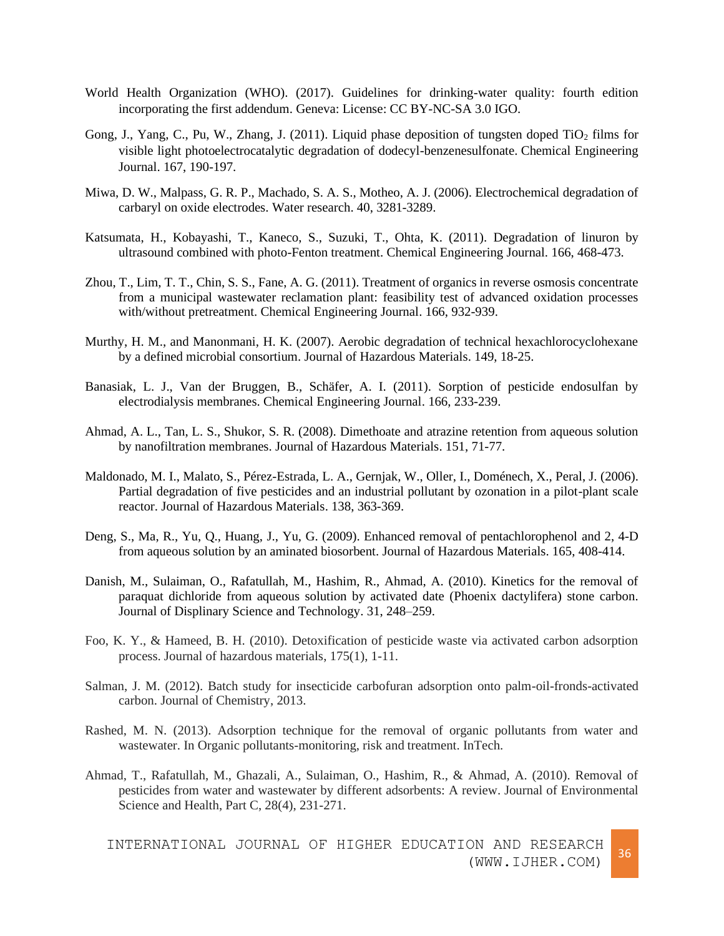- World Health Organization (WHO). (2017). Guidelines for drinking-water quality: fourth edition incorporating the first addendum. Geneva: License: CC BY-NC-SA 3.0 IGO.
- Gong, J., Yang, C., Pu, W., Zhang, J. (2011). Liquid phase deposition of tungsten doped  $TiO<sub>2</sub>$  films for visible light photoelectrocatalytic degradation of dodecyl-benzenesulfonate. Chemical Engineering Journal. 167, 190-197.
- Miwa, D. W., Malpass, G. R. P., Machado, S. A. S., Motheo, A. J. (2006). Electrochemical degradation of carbaryl on oxide electrodes. Water research. 40, 3281-3289.
- Katsumata, H., Kobayashi, T., Kaneco, S., Suzuki, T., Ohta, K. (2011). Degradation of linuron by ultrasound combined with photo-Fenton treatment. Chemical Engineering Journal. 166, 468-473.
- Zhou, T., Lim, T. T., Chin, S. S., Fane, A. G. (2011). Treatment of organics in reverse osmosis concentrate from a municipal wastewater reclamation plant: feasibility test of advanced oxidation processes with/without pretreatment. Chemical Engineering Journal. 166, 932-939.
- Murthy, H. M., and Manonmani, H. K. (2007). Aerobic degradation of technical hexachlorocyclohexane by a defined microbial consortium. Journal of Hazardous Materials. 149, 18-25.
- Banasiak, L. J., Van der Bruggen, B., Schäfer, A. I. (2011). Sorption of pesticide endosulfan by electrodialysis membranes. Chemical Engineering Journal. 166, 233-239.
- Ahmad, A. L., Tan, L. S., Shukor, S. R. (2008). Dimethoate and atrazine retention from aqueous solution by nanofiltration membranes. Journal of Hazardous Materials. 151, 71-77.
- Maldonado, M. I., Malato, S., Pérez-Estrada, L. A., Gernjak, W., Oller, I., Doménech, X., Peral, J. (2006). Partial degradation of five pesticides and an industrial pollutant by ozonation in a pilot-plant scale reactor. Journal of Hazardous Materials. 138, 363-369.
- Deng, S., Ma, R., Yu, Q., Huang, J., Yu, G. (2009). Enhanced removal of pentachlorophenol and 2, 4-D from aqueous solution by an aminated biosorbent. Journal of Hazardous Materials. 165, 408-414.
- Danish, M., Sulaiman, O., Rafatullah, M., Hashim, R., Ahmad, A. (2010). Kinetics for the removal of paraquat dichloride from aqueous solution by activated date (Phoenix dactylifera) stone carbon. Journal of Displinary Science and Technology. 31, 248–259.
- Foo, K. Y., & Hameed, B. H. (2010). Detoxification of pesticide waste via activated carbon adsorption process. Journal of hazardous materials, 175(1), 1-11.
- Salman, J. M. (2012). Batch study for insecticide carbofuran adsorption onto palm-oil-fronds-activated carbon. Journal of Chemistry, 2013.
- Rashed, M. N. (2013). Adsorption technique for the removal of organic pollutants from water and wastewater. In Organic pollutants-monitoring, risk and treatment. InTech.
- Ahmad, T., Rafatullah, M., Ghazali, A., Sulaiman, O., Hashim, R., & Ahmad, A. (2010). Removal of pesticides from water and wastewater by different adsorbents: A review. Journal of Environmental Science and Health, Part C, 28(4), 231-271.